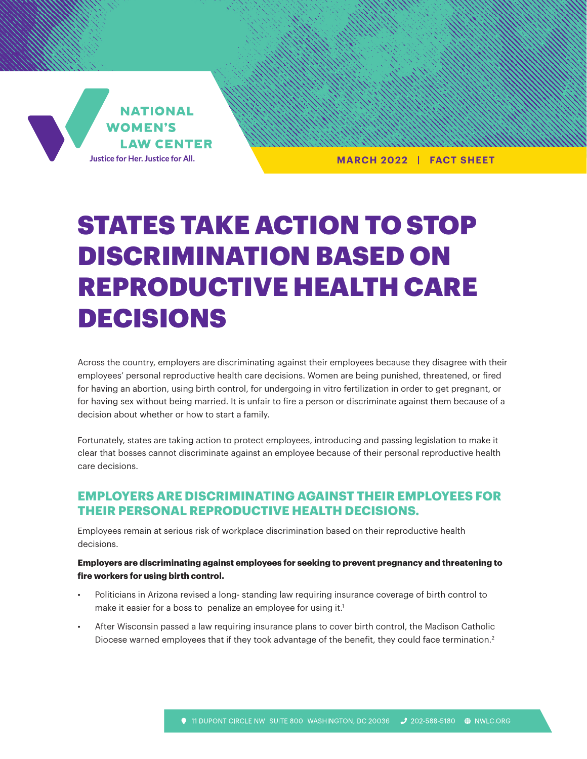

**MARCH 2022 | FACT SHEET**

# STATES TAKE ACTION TO STOP DISCRIMINATION BASED ON REPRODUCTIVE HEALTH CARE DECISIONS

Across the country, employers are discriminating against their employees because they disagree with their employees' personal reproductive health care decisions. Women are being punished, threatened, or fired for having an abortion, using birth control, for undergoing in vitro fertilization in order to get pregnant, or for having sex without being married. It is unfair to fire a person or discriminate against them because of a decision about whether or how to start a family.

Fortunately, states are taking action to protect employees, introducing and passing legislation to make it clear that bosses cannot discriminate against an employee because of their personal reproductive health care decisions.

# **EMPLOYERS ARE DISCRIMINATING AGAINST THEIR EMPLOYEES FOR THEIR PERSONAL REPRODUCTIVE HEALTH DECISIONS.**

Employees remain at serious risk of workplace discrimination based on their reproductive health decisions.

#### **Employers are discriminating against employees for seeking to prevent pregnancy and threatening to fire workers for using birth control.**

- Politicians in Arizona revised a long- standing law requiring insurance coverage of birth control to make it easier for a boss to penalize an employee for using it.<sup>1</sup>
- After Wisconsin passed a law requiring insurance plans to cover birth control, the Madison Catholic Diocese warned employees that if they took advantage of the benefit, they could face termination.<sup>2</sup>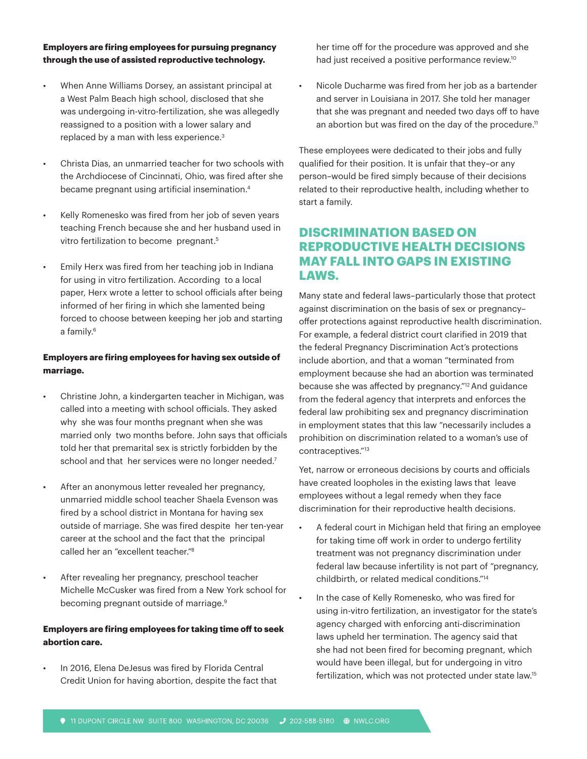#### **Employers are firing employees for pursuing pregnancy through the use of assisted reproductive technology.**

- When Anne Williams Dorsey, an assistant principal at a West Palm Beach high school, disclosed that she was undergoing in-vitro-fertilization, she was allegedly reassigned to a position with a lower salary and replaced by a man with less experience.3
- Christa Dias, an unmarried teacher for two schools with the Archdiocese of Cincinnati, Ohio, was fired after she became pregnant using artificial insemination.4
- Kelly Romenesko was fired from her job of seven years teaching French because she and her husband used in vitro fertilization to become pregnant.<sup>5</sup>
- Emily Herx was fired from her teaching job in Indiana for using in vitro fertilization. According to a local paper, Herx wrote a letter to school officials after being informed of her firing in which she lamented being forced to choose between keeping her job and starting a family.6

### **Employers are firing employees for having sex outside of marriage.**

- Christine John, a kindergarten teacher in Michigan, was called into a meeting with school officials. They asked why she was four months pregnant when she was married only two months before. John says that officials told her that premarital sex is strictly forbidden by the school and that her services were no longer needed.<sup>7</sup>
- After an anonymous letter revealed her pregnancy, unmarried middle school teacher Shaela Evenson was fired by a school district in Montana for having sex outside of marriage. She was fired despite her ten-year career at the school and the fact that the principal called her an "excellent teacher."8
- After revealing her pregnancy, preschool teacher Michelle McCusker was fired from a New York school for becoming pregnant outside of marriage.<sup>9</sup>

#### **Employers are firing employees for taking time off to seek abortion care.**

In 2016, Elena DeJesus was fired by Florida Central Credit Union for having abortion, despite the fact that her time off for the procedure was approved and she had just received a positive performance review.<sup>10</sup>

• Nicole Ducharme was fired from her job as a bartender and server in Louisiana in 2017. She told her manager that she was pregnant and needed two days off to have an abortion but was fired on the day of the procedure.<sup>11</sup>

These employees were dedicated to their jobs and fully qualified for their position. It is unfair that they–or any person–would be fired simply because of their decisions related to their reproductive health, including whether to start a family.

# **DISCRIMINATION BASED ON REPRODUCTIVE HEALTH DECISIONS MAY FALL INTO GAPS IN EXISTING LAWS.**

Many state and federal laws–particularly those that protect against discrimination on the basis of sex or pregnancy– offer protections against reproductive health discrimination. For example, a federal district court clarified in 2019 that the federal Pregnancy Discrimination Act's protections include abortion, and that a woman "terminated from employment because she had an abortion was terminated because she was affected by pregnancy."12 And guidance from the federal agency that interprets and enforces the federal law prohibiting sex and pregnancy discrimination in employment states that this law "necessarily includes a prohibition on discrimination related to a woman's use of contraceptives."13

Yet, narrow or erroneous decisions by courts and officials have created loopholes in the existing laws that leave employees without a legal remedy when they face discrimination for their reproductive health decisions.

- A federal court in Michigan held that firing an employee for taking time off work in order to undergo fertility treatment was not pregnancy discrimination under federal law because infertility is not part of "pregnancy, childbirth, or related medical conditions."14
- In the case of Kelly Romenesko, who was fired for using in-vitro fertilization, an investigator for the state's agency charged with enforcing anti-discrimination laws upheld her termination. The agency said that she had not been fired for becoming pregnant, which would have been illegal, but for undergoing in vitro fertilization, which was not protected under state law.15